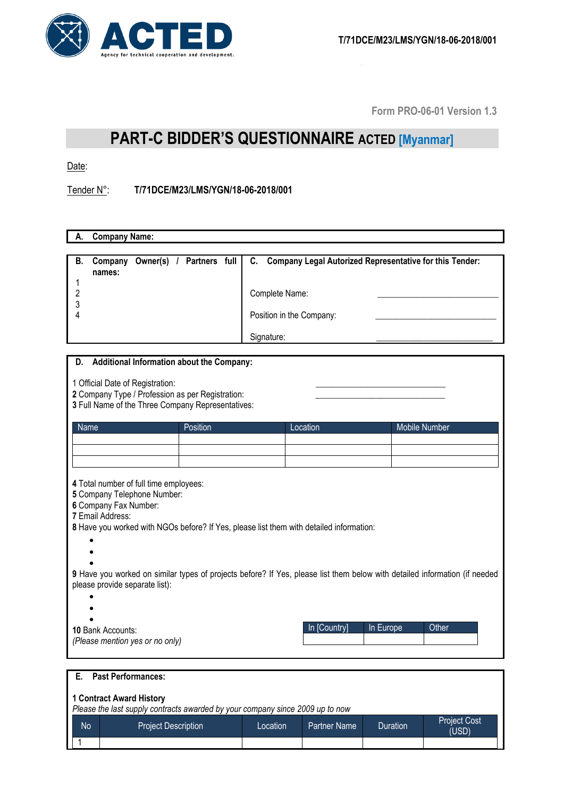

**Form PRO-06-01 Version 1.3**

## **PART-C BIDDER'S QUESTIONNAIRE ACTED [Myanmar]**

Date:

Tender N°: **T/71DCE/M23/LMS/YGN/18-06-2018/001**

| <b>Company Name:</b><br>А.                                                                                                                                                                                    |                                                                                                                           |                    |  |  |
|---------------------------------------------------------------------------------------------------------------------------------------------------------------------------------------------------------------|---------------------------------------------------------------------------------------------------------------------------|--------------------|--|--|
|                                                                                                                                                                                                               |                                                                                                                           |                    |  |  |
| Owner(s) / Partners full<br><b>B.</b><br>Company<br>names:<br>1<br>$\overline{c}$<br>3<br>4                                                                                                                   | C.<br>Company Legal Autorized Representative for this Tender:<br>Complete Name:<br>Position in the Company:<br>Signature: |                    |  |  |
|                                                                                                                                                                                                               |                                                                                                                           |                    |  |  |
| <b>Additional Information about the Company:</b><br>D.<br>1 Official Date of Registration:<br>2 Company Type / Profession as per Registration:<br>3 Full Name of the Three Company Representatives:           |                                                                                                                           |                    |  |  |
| Position<br>Name                                                                                                                                                                                              | Location                                                                                                                  | Mobile Number      |  |  |
|                                                                                                                                                                                                               |                                                                                                                           |                    |  |  |
|                                                                                                                                                                                                               |                                                                                                                           |                    |  |  |
|                                                                                                                                                                                                               |                                                                                                                           |                    |  |  |
| 4 Total number of full time employees:<br>5 Company Telephone Number:<br>6 Company Fax Number:<br>7 Email Address:<br>8 Have you worked with NGOs before? If Yes, please list them with detailed information: |                                                                                                                           |                    |  |  |
| 9 Have you worked on similar types of projects before? If Yes, please list them below with detailed information (if needed<br>please provide separate list):                                                  |                                                                                                                           |                    |  |  |
| 10 Bank Accounts:<br>(Please mention yes or no only)                                                                                                                                                          | In [Country]                                                                                                              | In Europe<br>Other |  |  |
| <b>Past Performances:</b><br>Е.                                                                                                                                                                               |                                                                                                                           |                    |  |  |

## **1 Contract Award History**

*Please the last supply contracts awarded by your company since 2009 up to now*

| <b>No</b> | <b>Project Description</b> | Location <sup>1</sup> | Partner Name | Duration | <b>Project Cost</b><br>(USD) |
|-----------|----------------------------|-----------------------|--------------|----------|------------------------------|
|           |                            |                       |              |          |                              |